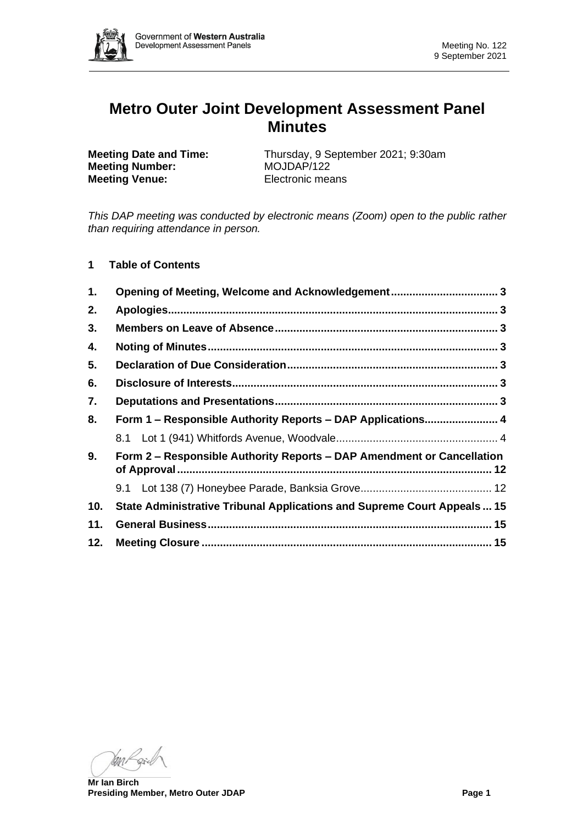

# **Metro Outer Joint Development Assessment Panel Minutes**

**Meeting Number:** MOJDAP/122 **Meeting Venue:** Electronic means

**Meeting Date and Time:** Thursday, 9 September 2021; 9:30am

*This DAP meeting was conducted by electronic means (Zoom) open to the public rather than requiring attendance in person.*

**1 Table of Contents**

| 1.  | Opening of Meeting, Welcome and Acknowledgement 3                              |  |  |  |
|-----|--------------------------------------------------------------------------------|--|--|--|
| 2.  |                                                                                |  |  |  |
| 3.  |                                                                                |  |  |  |
| 4.  |                                                                                |  |  |  |
| 5.  |                                                                                |  |  |  |
| 6.  |                                                                                |  |  |  |
| 7.  |                                                                                |  |  |  |
| 8.  | Form 1 - Responsible Authority Reports - DAP Applications 4                    |  |  |  |
|     |                                                                                |  |  |  |
| 9.  | Form 2 – Responsible Authority Reports – DAP Amendment or Cancellation         |  |  |  |
|     |                                                                                |  |  |  |
| 10. | <b>State Administrative Tribunal Applications and Supreme Court Appeals 15</b> |  |  |  |
| 11. |                                                                                |  |  |  |
| 12. |                                                                                |  |  |  |

ran

**Mr Ian Birch Presiding Member, Metro Outer JDAP Page 1**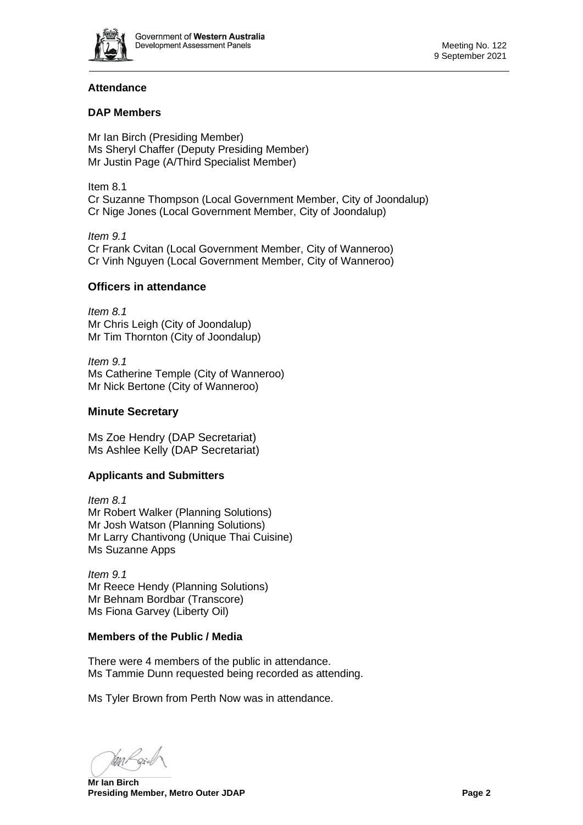

# **Attendance**

# **DAP Members**

Mr Ian Birch (Presiding Member) Ms Sheryl Chaffer (Deputy Presiding Member) Mr Justin Page (A/Third Specialist Member)

Item 8.1 Cr Suzanne Thompson (Local Government Member, City of Joondalup) Cr Nige Jones (Local Government Member, City of Joondalup)

*Item 9.1* Cr Frank Cvitan (Local Government Member, City of Wanneroo) Cr Vinh Nguyen (Local Government Member, City of Wanneroo)

## **Officers in attendance**

*Item 8.1* Mr Chris Leigh (City of Joondalup) Mr Tim Thornton (City of Joondalup)

*Item 9.1* Ms Catherine Temple (City of Wanneroo) Mr Nick Bertone (City of Wanneroo)

# **Minute Secretary**

Ms Zoe Hendry (DAP Secretariat) Ms Ashlee Kelly (DAP Secretariat)

# **Applicants and Submitters**

*Item 8.1* Mr Robert Walker (Planning Solutions) Mr Josh Watson (Planning Solutions) Mr Larry Chantivong (Unique Thai Cuisine) Ms Suzanne Apps

*Item 9.1* Mr Reece Hendy (Planning Solutions) Mr Behnam Bordbar (Transcore) Ms Fiona Garvey (Liberty Oil)

## **Members of the Public / Media**

There were 4 members of the public in attendance. Ms Tammie Dunn requested being recorded as attending.

Ms Tyler Brown from Perth Now was in attendance.

**Mr Ian Birch Presiding Member, Metro Outer JDAP Page 2 Page 2**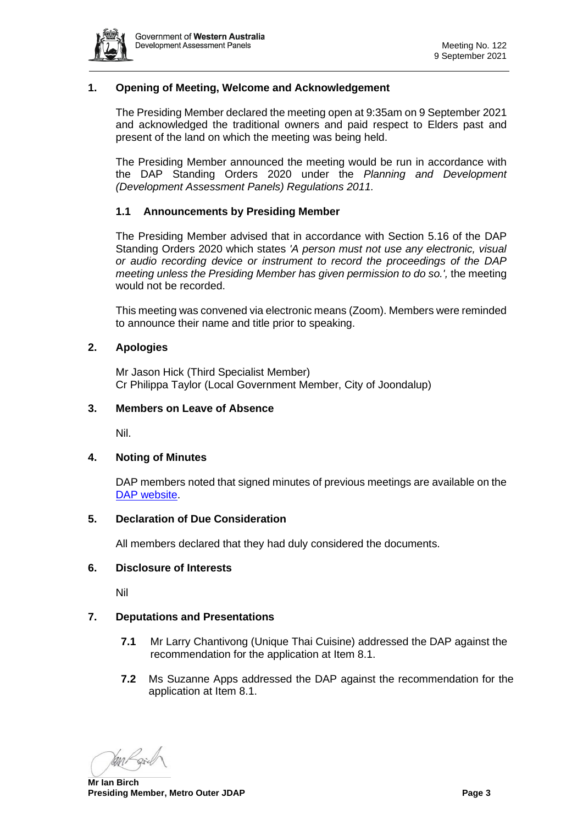

## <span id="page-2-0"></span>**1. Opening of Meeting, Welcome and Acknowledgement**

The Presiding Member declared the meeting open at 9:35am on 9 September 2021 and acknowledged the traditional owners and paid respect to Elders past and present of the land on which the meeting was being held.

The Presiding Member announced the meeting would be run in accordance with the DAP Standing Orders 2020 under the *Planning and Development (Development Assessment Panels) Regulations 2011.*

# **1.1 Announcements by Presiding Member**

The Presiding Member advised that in accordance with Section 5.16 of the DAP Standing Orders 2020 which states *'A person must not use any electronic, visual or audio recording device or instrument to record the proceedings of the DAP meeting unless the Presiding Member has given permission to do so.',* the meeting would not be recorded.

This meeting was convened via electronic means (Zoom). Members were reminded to announce their name and title prior to speaking.

#### <span id="page-2-1"></span>**2. Apologies**

Mr Jason Hick (Third Specialist Member) Cr Philippa Taylor (Local Government Member, City of Joondalup)

#### <span id="page-2-2"></span>**3. Members on Leave of Absence**

Nil.

## <span id="page-2-3"></span>**4. Noting of Minutes**

DAP members noted that signed minutes of previous meetings are available on the [DAP website.](https://www.dplh.wa.gov.au/about/development-assessment-panels/daps-agendas-and-minutes)

#### <span id="page-2-4"></span>**5. Declaration of Due Consideration**

All members declared that they had duly considered the documents.

#### <span id="page-2-5"></span>**6. Disclosure of Interests**

Nil

## <span id="page-2-6"></span>**7. Deputations and Presentations**

- **7.1** Mr Larry Chantivong (Unique Thai Cuisine) addressed the DAP against the recommendation for the application at Item 8.1.
- **7.2** Ms Suzanne Apps addressed the DAP against the recommendation for the application at Item 8.1.

**Mr Ian Birch Presiding Member, Metro Outer JDAP Page 3 Page 3**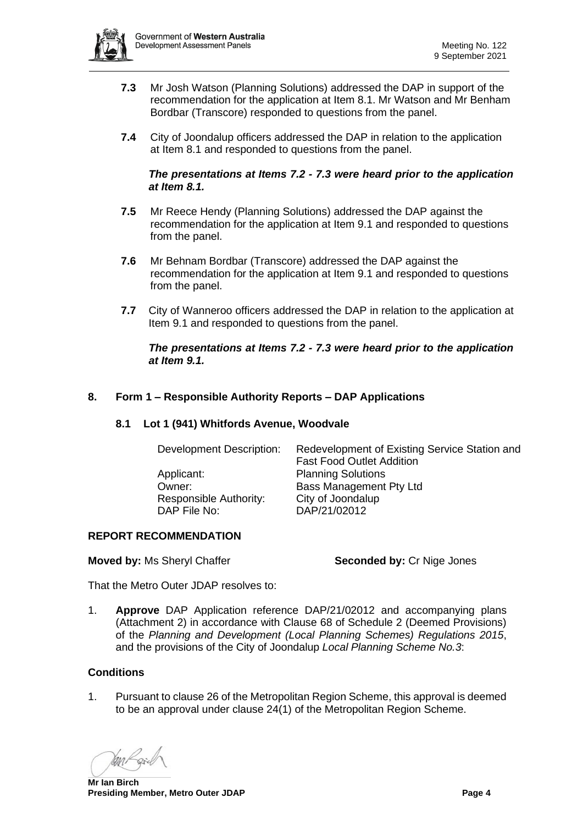

- **7.3** Mr Josh Watson (Planning Solutions) addressed the DAP in support of the recommendation for the application at Item 8.1. Mr Watson and Mr Benham Bordbar (Transcore) responded to questions from the panel.
- **7.4** City of Joondalup officers addressed the DAP in relation to the application at Item 8.1 and responded to questions from the panel.

#### *The presentations at Items 7.2 - 7.3 were heard prior to the application at Item 8.1.*

- **7.5** Mr Reece Hendy (Planning Solutions) addressed the DAP against the recommendation for the application at Item 9.1 and responded to questions from the panel.
- **7.6** Mr Behnam Bordbar (Transcore) addressed the DAP against the recommendation for the application at Item 9.1 and responded to questions from the panel.
- **7.7** City of Wanneroo officers addressed the DAP in relation to the application at Item 9.1 and responded to questions from the panel.

## *The presentations at Items 7.2 - 7.3 were heard prior to the application at Item 9.1.*

# <span id="page-3-1"></span><span id="page-3-0"></span>**8. Form 1 – Responsible Authority Reports – DAP Applications**

## **8.1 Lot 1 (941) Whitfords Avenue, Woodvale**

| Development Description:<br>Applicant:<br>Owner:<br>Responsible Authority: | Redevelopment of Existing Service Station and<br><b>Fast Food Outlet Addition</b><br><b>Planning Solutions</b><br><b>Bass Management Pty Ltd</b><br>City of Joondalup |
|----------------------------------------------------------------------------|-----------------------------------------------------------------------------------------------------------------------------------------------------------------------|
| DAP File No:                                                               | DAP/21/02012                                                                                                                                                          |

## **REPORT RECOMMENDATION**

**Moved by:** Ms Sheryl Chaffer **Seconded by:** Cr Nige Jones

That the Metro Outer JDAP resolves to:

1. **Approve** DAP Application reference DAP/21/02012 and accompanying plans (Attachment 2) in accordance with Clause 68 of Schedule 2 (Deemed Provisions) of the *Planning and Development (Local Planning Schemes) Regulations 2015*, and the provisions of the City of Joondalup *Local Planning Scheme No.3*:

## **Conditions**

1. Pursuant to clause 26 of the Metropolitan Region Scheme, this approval is deemed to be an approval under clause 24(1) of the Metropolitan Region Scheme.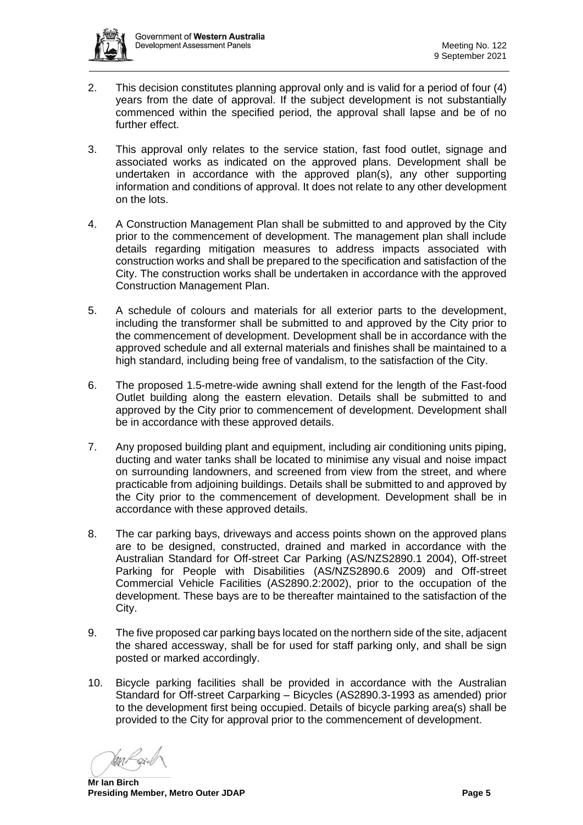

- 2. This decision constitutes planning approval only and is valid for a period of four (4) years from the date of approval. If the subject development is not substantially commenced within the specified period, the approval shall lapse and be of no further effect.
- 3. This approval only relates to the service station, fast food outlet, signage and associated works as indicated on the approved plans. Development shall be undertaken in accordance with the approved plan(s), any other supporting information and conditions of approval. It does not relate to any other development on the lots.
- 4. A Construction Management Plan shall be submitted to and approved by the City prior to the commencement of development. The management plan shall include details regarding mitigation measures to address impacts associated with construction works and shall be prepared to the specification and satisfaction of the City. The construction works shall be undertaken in accordance with the approved Construction Management Plan.
- 5. A schedule of colours and materials for all exterior parts to the development, including the transformer shall be submitted to and approved by the City prior to the commencement of development. Development shall be in accordance with the approved schedule and all external materials and finishes shall be maintained to a high standard, including being free of vandalism, to the satisfaction of the City.
- 6. The proposed 1.5-metre-wide awning shall extend for the length of the Fast-food Outlet building along the eastern elevation. Details shall be submitted to and approved by the City prior to commencement of development. Development shall be in accordance with these approved details.
- 7. Any proposed building plant and equipment, including air conditioning units piping, ducting and water tanks shall be located to minimise any visual and noise impact on surrounding landowners, and screened from view from the street, and where practicable from adjoining buildings. Details shall be submitted to and approved by the City prior to the commencement of development. Development shall be in accordance with these approved details.
- 8. The car parking bays, driveways and access points shown on the approved plans are to be designed, constructed, drained and marked in accordance with the Australian Standard for Off-street Car Parking (AS/NZS2890.1 2004), Off-street Parking for People with Disabilities (AS/NZS2890.6 2009) and Off-street Commercial Vehicle Facilities (AS2890.2:2002), prior to the occupation of the development. These bays are to be thereafter maintained to the satisfaction of the City.
- 9. The five proposed car parking bays located on the northern side of the site, adjacent the shared accessway, shall be for used for staff parking only, and shall be sign posted or marked accordingly.
- 10. Bicycle parking facilities shall be provided in accordance with the Australian Standard for Off-street Carparking – Bicycles (AS2890.3-1993 as amended) prior to the development first being occupied. Details of bicycle parking area(s) shall be provided to the City for approval prior to the commencement of development.

**Mr Ian Birch Presiding Member, Metro Outer JDAP Page 5 Page 5**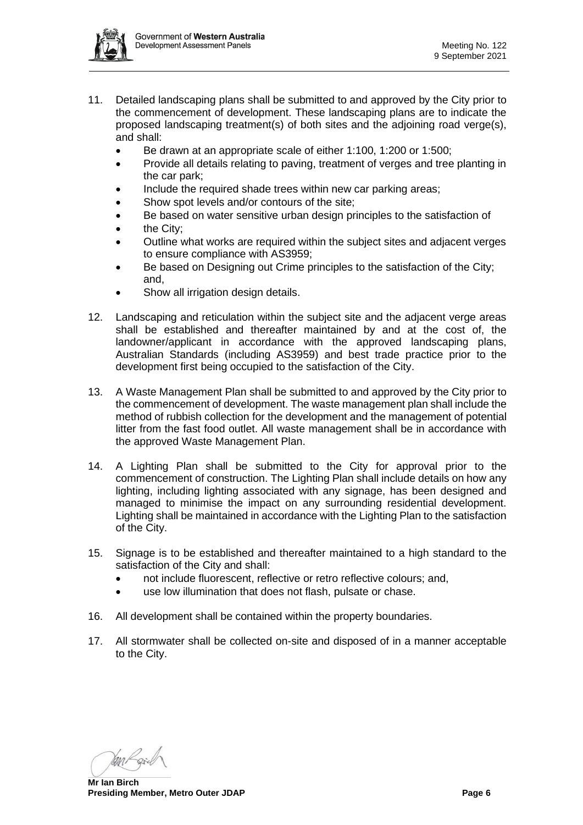

- 11. Detailed landscaping plans shall be submitted to and approved by the City prior to the commencement of development. These landscaping plans are to indicate the proposed landscaping treatment(s) of both sites and the adjoining road verge(s), and shall:
	- Be drawn at an appropriate scale of either 1:100, 1:200 or 1:500;
	- Provide all details relating to paving, treatment of verges and tree planting in the car park;
	- Include the required shade trees within new car parking areas;
	- Show spot levels and/or contours of the site:
	- Be based on water sensitive urban design principles to the satisfaction of
	- the City:
	- Outline what works are required within the subject sites and adjacent verges to ensure compliance with AS3959;
	- Be based on Designing out Crime principles to the satisfaction of the City; and,
	- Show all irrigation design details.
- 12. Landscaping and reticulation within the subject site and the adjacent verge areas shall be established and thereafter maintained by and at the cost of, the landowner/applicant in accordance with the approved landscaping plans, Australian Standards (including AS3959) and best trade practice prior to the development first being occupied to the satisfaction of the City.
- 13. A Waste Management Plan shall be submitted to and approved by the City prior to the commencement of development. The waste management plan shall include the method of rubbish collection for the development and the management of potential litter from the fast food outlet. All waste management shall be in accordance with the approved Waste Management Plan.
- 14. A Lighting Plan shall be submitted to the City for approval prior to the commencement of construction. The Lighting Plan shall include details on how any lighting, including lighting associated with any signage, has been designed and managed to minimise the impact on any surrounding residential development. Lighting shall be maintained in accordance with the Lighting Plan to the satisfaction of the City.
- 15. Signage is to be established and thereafter maintained to a high standard to the satisfaction of the City and shall:
	- not include fluorescent, reflective or retro reflective colours; and,
	- use low illumination that does not flash, pulsate or chase.
- 16. All development shall be contained within the property boundaries.
- 17. All stormwater shall be collected on-site and disposed of in a manner acceptable to the City.

**Mr Ian Birch Presiding Member, Metro Outer JDAP Page 6 Page 6 Page 6 Page 6**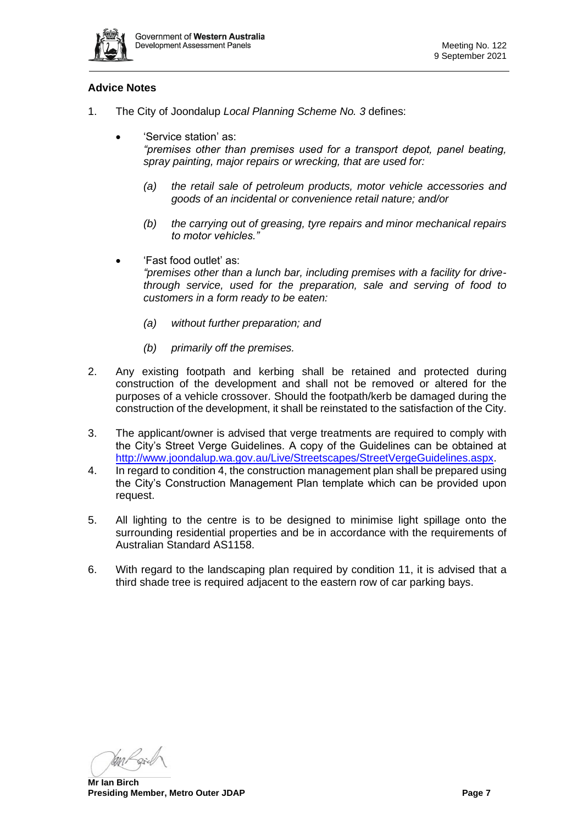

# **Advice Notes**

- 1. The City of Joondalup *Local Planning Scheme No. 3* defines:
	- 'Service station' as: *"premises other than premises used for a transport depot, panel beating, spray painting, major repairs or wrecking, that are used for:* 
		- *(a) the retail sale of petroleum products, motor vehicle accessories and goods of an incidental or convenience retail nature; and/or*
		- *(b) the carrying out of greasing, tyre repairs and minor mechanical repairs to motor vehicles."*
	- 'Fast food outlet' as: *"premises other than a lunch bar, including premises with a facility for drivethrough service, used for the preparation, sale and serving of food to customers in a form ready to be eaten:*
		- *(a) without further preparation; and*
		- *(b) primarily off the premises.*
- 2. Any existing footpath and kerbing shall be retained and protected during construction of the development and shall not be removed or altered for the purposes of a vehicle crossover. Should the footpath/kerb be damaged during the construction of the development, it shall be reinstated to the satisfaction of the City.
- 3. The applicant/owner is advised that verge treatments are required to comply with the City's Street Verge Guidelines. A copy of the Guidelines can be obtained at [http://www.joondalup.wa.gov.au/Live/Streetscapes/StreetVergeGuidelines.aspx.](http://www.joondalup.wa.gov.au/Live/Streetscapes/StreetVergeGuidelines.aspx)
- 4. In regard to condition 4, the construction management plan shall be prepared using the City's Construction Management Plan template which can be provided upon request.
- 5. All lighting to the centre is to be designed to minimise light spillage onto the surrounding residential properties and be in accordance with the requirements of Australian Standard AS1158.
- 6. With regard to the landscaping plan required by condition 11, it is advised that a third shade tree is required adjacent to the eastern row of car parking bays.

**Mr Ian Birch Presiding Member, Metro Outer JDAP Page 7 Page 7**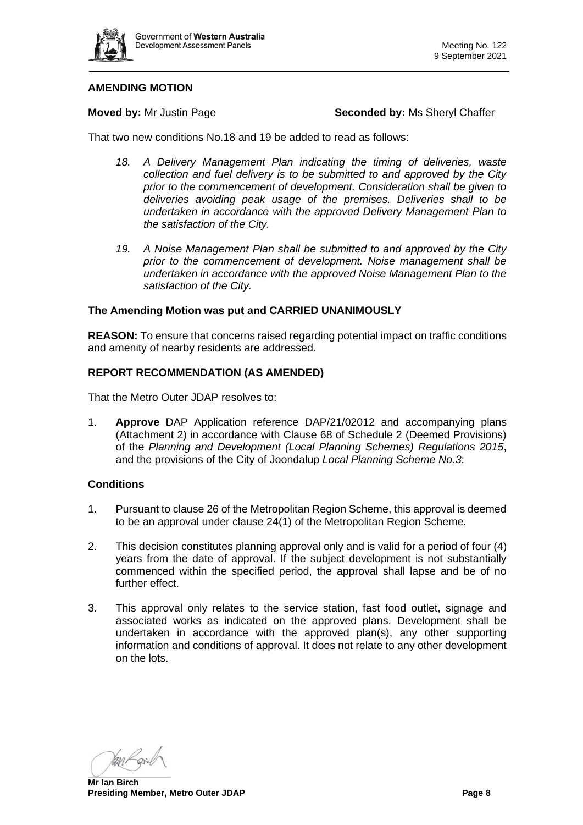

#### **AMENDING MOTION**

**Moved by:** Mr Justin Page **Seconded by:** Ms Sheryl Chaffer

That two new conditions No.18 and 19 be added to read as follows:

- 18. A Delivery Management Plan indicating the timing of deliveries, waste *collection and fuel delivery is to be submitted to and approved by the City prior to the commencement of development. Consideration shall be given to deliveries avoiding peak usage of the premises. Deliveries shall to be undertaken in accordance with the approved Delivery Management Plan to the satisfaction of the City.*
- *19. A Noise Management Plan shall be submitted to and approved by the City prior to the commencement of development. Noise management shall be undertaken in accordance with the approved Noise Management Plan to the satisfaction of the City.*

#### **The Amending Motion was put and CARRIED UNANIMOUSLY**

**REASON:** To ensure that concerns raised regarding potential impact on traffic conditions and amenity of nearby residents are addressed.

## **REPORT RECOMMENDATION (AS AMENDED)**

That the Metro Outer JDAP resolves to:

1. **Approve** DAP Application reference DAP/21/02012 and accompanying plans (Attachment 2) in accordance with Clause 68 of Schedule 2 (Deemed Provisions) of the *Planning and Development (Local Planning Schemes) Regulations 2015*, and the provisions of the City of Joondalup *Local Planning Scheme No.3*:

#### **Conditions**

- 1. Pursuant to clause 26 of the Metropolitan Region Scheme, this approval is deemed to be an approval under clause 24(1) of the Metropolitan Region Scheme.
- 2. This decision constitutes planning approval only and is valid for a period of four (4) years from the date of approval. If the subject development is not substantially commenced within the specified period, the approval shall lapse and be of no further effect.
- 3. This approval only relates to the service station, fast food outlet, signage and associated works as indicated on the approved plans. Development shall be undertaken in accordance with the approved plan(s), any other supporting information and conditions of approval. It does not relate to any other development on the lots.

**Mr Ian Birch Presiding Member, Metro Outer JDAP Page 8 Page 8**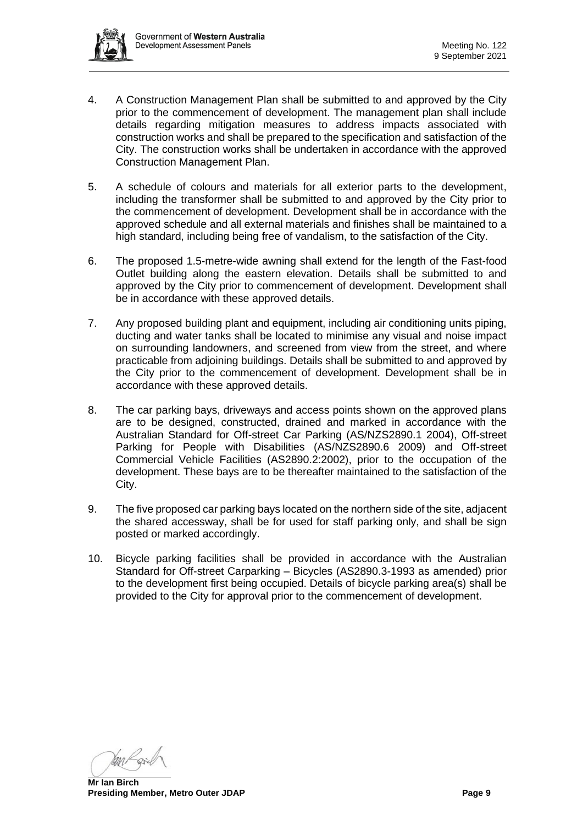

- 4. A Construction Management Plan shall be submitted to and approved by the City prior to the commencement of development. The management plan shall include details regarding mitigation measures to address impacts associated with construction works and shall be prepared to the specification and satisfaction of the City. The construction works shall be undertaken in accordance with the approved Construction Management Plan.
- 5. A schedule of colours and materials for all exterior parts to the development, including the transformer shall be submitted to and approved by the City prior to the commencement of development. Development shall be in accordance with the approved schedule and all external materials and finishes shall be maintained to a high standard, including being free of vandalism, to the satisfaction of the City.
- 6. The proposed 1.5-metre-wide awning shall extend for the length of the Fast-food Outlet building along the eastern elevation. Details shall be submitted to and approved by the City prior to commencement of development. Development shall be in accordance with these approved details.
- 7. Any proposed building plant and equipment, including air conditioning units piping, ducting and water tanks shall be located to minimise any visual and noise impact on surrounding landowners, and screened from view from the street, and where practicable from adjoining buildings. Details shall be submitted to and approved by the City prior to the commencement of development. Development shall be in accordance with these approved details.
- 8. The car parking bays, driveways and access points shown on the approved plans are to be designed, constructed, drained and marked in accordance with the Australian Standard for Off-street Car Parking (AS/NZS2890.1 2004), Off-street Parking for People with Disabilities (AS/NZS2890.6 2009) and Off-street Commercial Vehicle Facilities (AS2890.2:2002), prior to the occupation of the development. These bays are to be thereafter maintained to the satisfaction of the City.
- 9. The five proposed car parking bays located on the northern side of the site, adjacent the shared accessway, shall be for used for staff parking only, and shall be sign posted or marked accordingly.
- 10. Bicycle parking facilities shall be provided in accordance with the Australian Standard for Off-street Carparking – Bicycles (AS2890.3-1993 as amended) prior to the development first being occupied. Details of bicycle parking area(s) shall be provided to the City for approval prior to the commencement of development.

**Mr Ian Birch Presiding Member, Metro Outer JDAP Page 9 Page 9**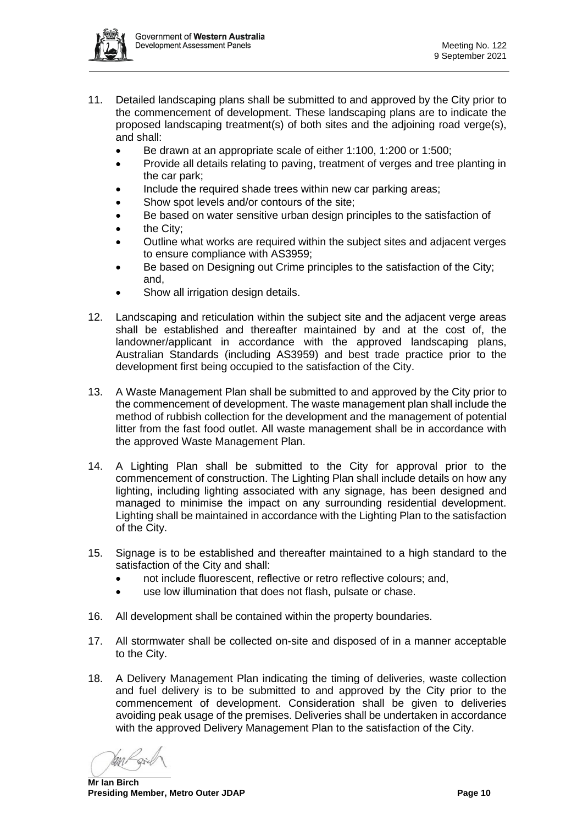

- 11. Detailed landscaping plans shall be submitted to and approved by the City prior to the commencement of development. These landscaping plans are to indicate the proposed landscaping treatment(s) of both sites and the adjoining road verge(s), and shall:
	- Be drawn at an appropriate scale of either 1:100, 1:200 or 1:500;
	- Provide all details relating to paving, treatment of verges and tree planting in the car park;
	- Include the required shade trees within new car parking areas;
	- Show spot levels and/or contours of the site:
	- Be based on water sensitive urban design principles to the satisfaction of
	- the City:
	- Outline what works are required within the subject sites and adjacent verges to ensure compliance with AS3959;
	- Be based on Designing out Crime principles to the satisfaction of the City; and,
	- Show all irrigation design details.
- 12. Landscaping and reticulation within the subject site and the adjacent verge areas shall be established and thereafter maintained by and at the cost of, the landowner/applicant in accordance with the approved landscaping plans, Australian Standards (including AS3959) and best trade practice prior to the development first being occupied to the satisfaction of the City.
- 13. A Waste Management Plan shall be submitted to and approved by the City prior to the commencement of development. The waste management plan shall include the method of rubbish collection for the development and the management of potential litter from the fast food outlet. All waste management shall be in accordance with the approved Waste Management Plan.
- 14. A Lighting Plan shall be submitted to the City for approval prior to the commencement of construction. The Lighting Plan shall include details on how any lighting, including lighting associated with any signage, has been designed and managed to minimise the impact on any surrounding residential development. Lighting shall be maintained in accordance with the Lighting Plan to the satisfaction of the City.
- 15. Signage is to be established and thereafter maintained to a high standard to the satisfaction of the City and shall:
	- not include fluorescent, reflective or retro reflective colours; and,
	- use low illumination that does not flash, pulsate or chase.
- 16. All development shall be contained within the property boundaries.
- 17. All stormwater shall be collected on-site and disposed of in a manner acceptable to the City.
- 18. A Delivery Management Plan indicating the timing of deliveries, waste collection and fuel delivery is to be submitted to and approved by the City prior to the commencement of development. Consideration shall be given to deliveries avoiding peak usage of the premises. Deliveries shall be undertaken in accordance with the approved Delivery Management Plan to the satisfaction of the City.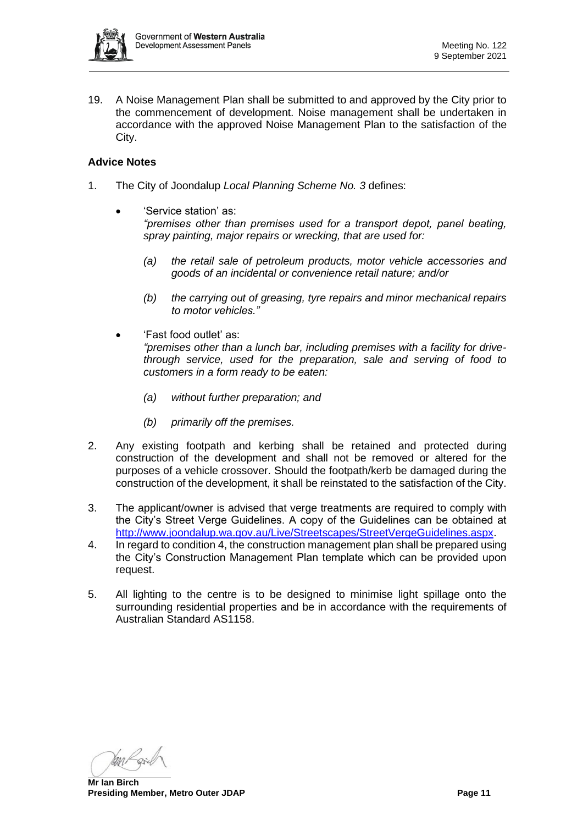

19. A Noise Management Plan shall be submitted to and approved by the City prior to the commencement of development. Noise management shall be undertaken in accordance with the approved Noise Management Plan to the satisfaction of the City.

#### **Advice Notes**

- 1. The City of Joondalup *Local Planning Scheme No. 3* defines:
	- 'Service station' as: *"premises other than premises used for a transport depot, panel beating, spray painting, major repairs or wrecking, that are used for:* 
		- *(a) the retail sale of petroleum products, motor vehicle accessories and goods of an incidental or convenience retail nature; and/or*
		- *(b) the carrying out of greasing, tyre repairs and minor mechanical repairs to motor vehicles."*
	- 'Fast food outlet' as: *"premises other than a lunch bar, including premises with a facility for drivethrough service, used for the preparation, sale and serving of food to customers in a form ready to be eaten:*
		- *(a) without further preparation; and*
		- *(b) primarily off the premises.*
- 2. Any existing footpath and kerbing shall be retained and protected during construction of the development and shall not be removed or altered for the purposes of a vehicle crossover. Should the footpath/kerb be damaged during the construction of the development, it shall be reinstated to the satisfaction of the City.
- 3. The applicant/owner is advised that verge treatments are required to comply with the City's Street Verge Guidelines. A copy of the Guidelines can be obtained at [http://www.joondalup.wa.gov.au/Live/Streetscapes/StreetVergeGuidelines.aspx.](http://www.joondalup.wa.gov.au/Live/Streetscapes/StreetVergeGuidelines.aspx)
- 4. In regard to condition 4, the construction management plan shall be prepared using the City's Construction Management Plan template which can be provided upon request.
- 5. All lighting to the centre is to be designed to minimise light spillage onto the surrounding residential properties and be in accordance with the requirements of Australian Standard AS1158.

**Mr Ian Birch Presiding Member, Metro Outer JDAP Page 11**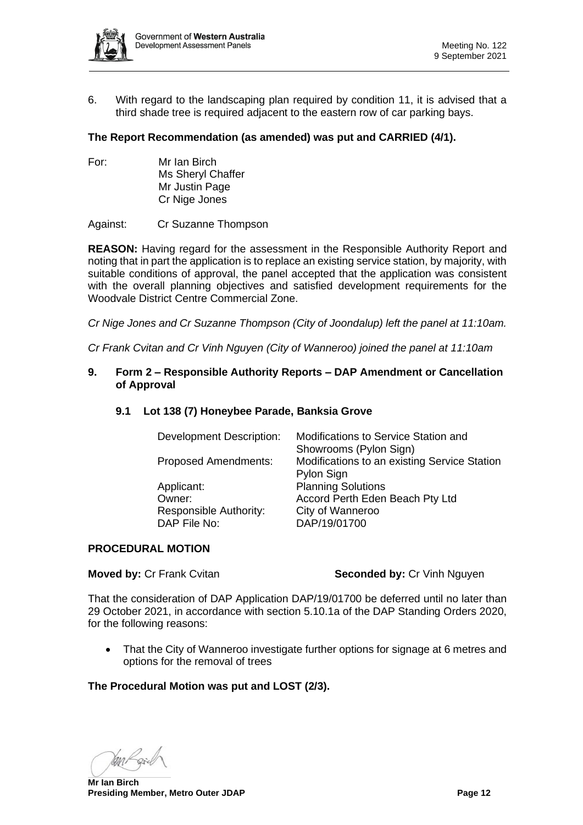

6. With regard to the landscaping plan required by condition 11, it is advised that a third shade tree is required adjacent to the eastern row of car parking bays.

## **The Report Recommendation (as amended) was put and CARRIED (4/1).**

For: Mr Ian Birch Ms Sheryl Chaffer Mr Justin Page Cr Nige Jones

Against: Cr Suzanne Thompson

**REASON:** Having regard for the assessment in the Responsible Authority Report and noting that in part the application is to replace an existing service station, by majority, with suitable conditions of approval, the panel accepted that the application was consistent with the overall planning objectives and satisfied development requirements for the Woodvale District Centre Commercial Zone.

*Cr Nige Jones and Cr Suzanne Thompson (City of Joondalup) left the panel at 11:10am.*

<span id="page-11-0"></span>*Cr Frank Cvitan and Cr Vinh Nguyen (City of Wanneroo) joined the panel at 11:10am*

#### **9. Form 2 – Responsible Authority Reports – DAP Amendment or Cancellation of Approval**

#### <span id="page-11-1"></span>**9.1 Lot 138 (7) Honeybee Parade, Banksia Grove**

| <b>Development Description:</b> | Modifications to Service Station and         |  |
|---------------------------------|----------------------------------------------|--|
|                                 | Showrooms (Pylon Sign)                       |  |
| <b>Proposed Amendments:</b>     | Modifications to an existing Service Station |  |
|                                 | Pylon Sign                                   |  |
| Applicant:                      | <b>Planning Solutions</b>                    |  |
| Owner:                          | Accord Perth Eden Beach Pty Ltd              |  |
| Responsible Authority:          | City of Wanneroo                             |  |
| DAP File No:                    | DAP/19/01700                                 |  |
|                                 |                                              |  |

#### **PROCEDURAL MOTION**

**Moved by: Cr Frank Cvitan <b>Seconded by: Cr** Vinh Nguyen

That the consideration of DAP Application DAP/19/01700 be deferred until no later than 29 October 2021, in accordance with section 5.10.1a of the DAP Standing Orders 2020, for the following reasons:

• That the City of Wanneroo investigate further options for signage at 6 metres and options for the removal of trees

#### **The Procedural Motion was put and LOST (2/3).**

Yasa P

**Mr Ian Birch Presiding Member, Metro Outer JDAP Page 12 Page 12**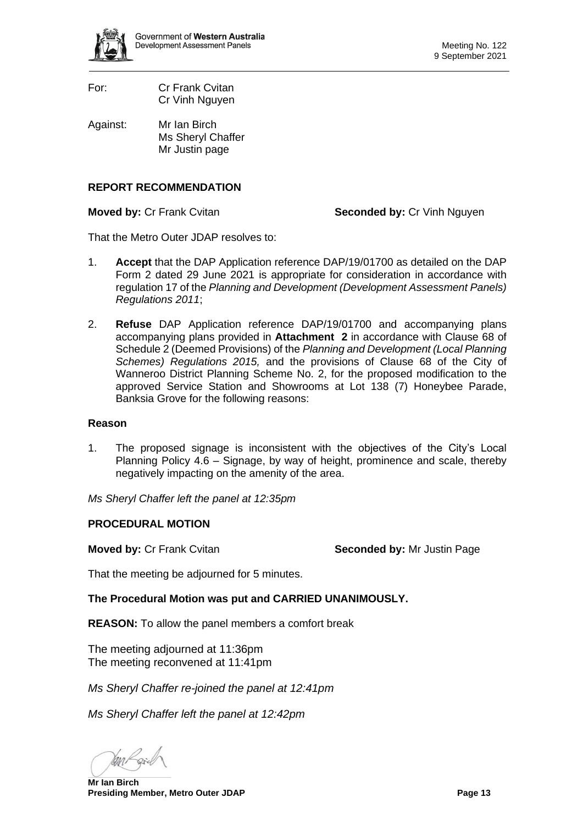

- For: Cr Frank Cvitan Cr Vinh Nguyen
- Against: Mr Ian Birch Ms Sheryl Chaffer Mr Justin page

## **REPORT RECOMMENDATION**

**Moved by: Cr Frank Cvitan <b>Seconded by: Cr** Vinh Nguyen

That the Metro Outer JDAP resolves to:

- 1. **Accept** that the DAP Application reference DAP/19/01700 as detailed on the DAP Form 2 dated 29 June 2021 is appropriate for consideration in accordance with regulation 17 of the *Planning and Development (Development Assessment Panels) Regulations 2011*;
- 2. **Refuse** DAP Application reference DAP/19/01700 and accompanying plans accompanying plans provided in **Attachment 2** in accordance with Clause 68 of Schedule 2 (Deemed Provisions) of the *Planning and Development (Local Planning Schemes) Regulations 2015,* and the provisions of Clause 68 of the City of Wanneroo District Planning Scheme No. 2, for the proposed modification to the approved Service Station and Showrooms at Lot 138 (7) Honeybee Parade, Banksia Grove for the following reasons:

#### **Reason**

1. The proposed signage is inconsistent with the objectives of the City's Local Planning Policy 4.6 – Signage, by way of height, prominence and scale, thereby negatively impacting on the amenity of the area.

*Ms Sheryl Chaffer left the panel at 12:35pm*

## **PROCEDURAL MOTION**

**Moved by: Cr Frank Cvitan <b>Seconded by:** Mr Justin Page

That the meeting be adjourned for 5 minutes.

**The Procedural Motion was put and CARRIED UNANIMOUSLY.**

**REASON:** To allow the panel members a comfort break

The meeting adjourned at 11:36pm The meeting reconvened at 11:41pm

*Ms Sheryl Chaffer re-joined the panel at 12:41pm*

*Ms Sheryl Chaffer left the panel at 12:42pm*

**Mr Ian Birch Presiding Member, Metro Outer JDAP Page 13**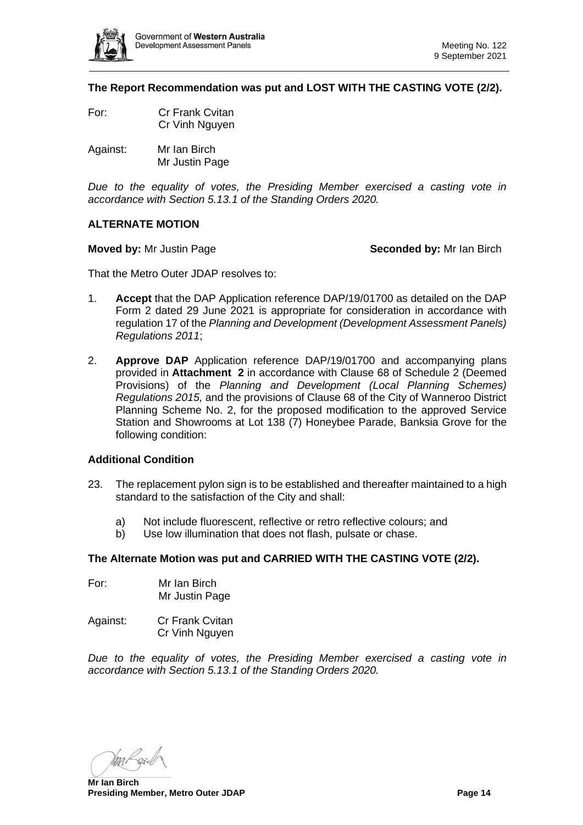

**The Report Recommendation was put and LOST WITH THE CASTING VOTE (2/2).** 

- For: Cr Frank Cvitan Cr Vinh Nguyen
- Against: Mr Ian Birch Mr Justin Page

*Due to the equality of votes, the Presiding Member exercised a casting vote in accordance with Section 5.13.1 of the Standing Orders 2020.*

#### **ALTERNATE MOTION**

**Moved by:** Mr Justin Page **Seconded by:** Mr Ian Birch

That the Metro Outer JDAP resolves to:

- 1. **Accept** that the DAP Application reference DAP/19/01700 as detailed on the DAP Form 2 dated 29 June 2021 is appropriate for consideration in accordance with regulation 17 of the *Planning and Development (Development Assessment Panels) Regulations 2011*;
- 2. **Approve DAP** Application reference DAP/19/01700 and accompanying plans provided in **Attachment 2** in accordance with Clause 68 of Schedule 2 (Deemed Provisions) of the *Planning and Development (Local Planning Schemes) Regulations 2015,* and the provisions of Clause 68 of the City of Wanneroo District Planning Scheme No. 2, for the proposed modification to the approved Service Station and Showrooms at Lot 138 (7) Honeybee Parade, Banksia Grove for the following condition:

#### **Additional Condition**

- 23. The replacement pylon sign is to be established and thereafter maintained to a high standard to the satisfaction of the City and shall:
	- a) Not include fluorescent, reflective or retro reflective colours; and
	- b) Use low illumination that does not flash, pulsate or chase.

#### **The Alternate Motion was put and CARRIED WITH THE CASTING VOTE (2/2).**

- For: Mr Ian Birch Mr Justin Page
- Against: Cr Frank Cvitan Cr Vinh Nguyen

*Due to the equality of votes, the Presiding Member exercised a casting vote in accordance with Section 5.13.1 of the Standing Orders 2020.*

**Mr Ian Birch Presiding Member, Metro Outer JDAP Page 14 Page 14**